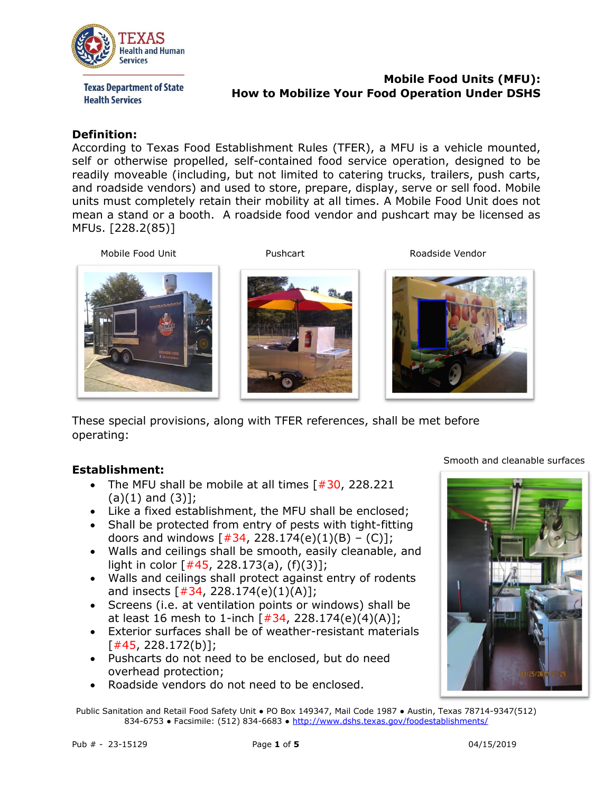

**Texas Department of State Health Services** 

### **Mobile Food Units (MFU): How to Mobilize Your Food Operation Under DSHS**

#### **Definition:**

According to Texas Food Establishment Rules (TFER), a MFU is a vehicle mounted, self or otherwise propelled, self-contained food service operation, designed to be readily moveable (including, but not limited to catering trucks, trailers, push carts, and roadside vendors) and used to store, prepare, display, serve or sell food. Mobile units must completely retain their mobility at all times. A Mobile Food Unit does not mean a stand or a booth. A roadside food vendor and pushcart may be licensed as MFUs. [228.2(85)]

Mobile Food Unit **Notify Contains the Contract Contains Container** Roadside Vendor





These special provisions, along with TFER references, shall be met before operating:

# **Establishment:**

- The MFU shall be mobile at all times  $[#30, 228.221]$  $(a)(1)$  and  $(3)$ ];
- Like a fixed establishment, the MFU shall be enclosed;
- Shall be protected from entry of pests with tight-fitting doors and windows  $[\, \# \, 34, \, 228.174(e)(1)(B) - (C)]\,$ ;
- Walls and ceilings shall be smooth, easily cleanable, and light in color  $[445, 228.173(a), (f)(3)]$ ;
- Walls and ceilings shall protect against entry of rodents and insects  $[#34, 228.174(e)(1)(A)];$
- Screens (i.e. at ventilation points or windows) shall be at least 16 mesh to 1-inch  $[\#34, 228.174(e)(4)(A)];$
- Exterior surfaces shall be of weather-resistant materials  $[#45, 228.172(b)]$ ;
- Pushcarts do not need to be enclosed, but do need overhead protection;
- Roadside vendors do not need to be enclosed.

Smooth and cleanable surfaces



Public Sanitation and Retail Food Safety Unit ● PO Box 149347, Mail Code 1987 ● Austin, Texas 78714-9347(512) 834-6753 ● Facsimile: (512) 834-6683 ● <http://www.dshs.texas.gov/foodestablishments/>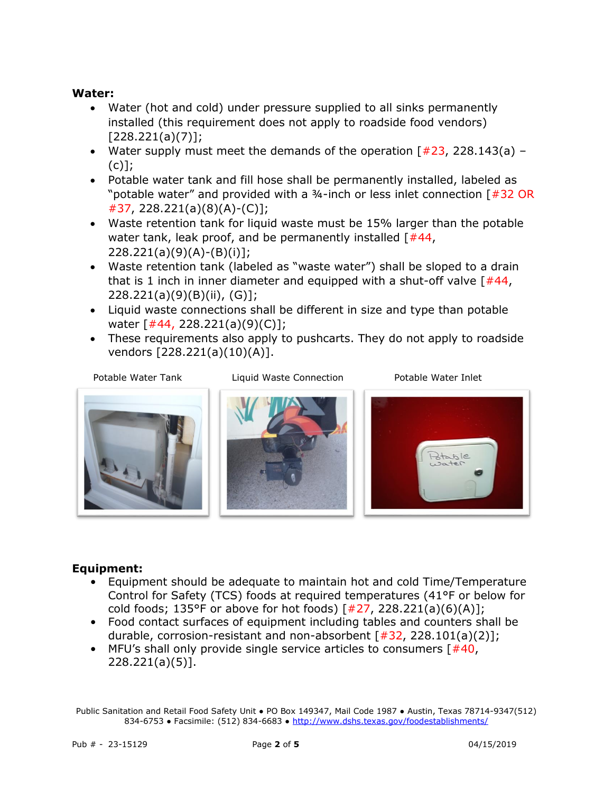### **Water:**

- Water (hot and cold) under pressure supplied to all sinks permanently installed (this requirement does not apply to roadside food vendors)  $[228.221(a)(7)]$ ;
- Water supply must meet the demands of the operation  $[#23, 228.143(a) (c)$ ];
- Potable water tank and fill hose shall be permanently installed, labeled as "potable water" and provided with a ¾-inch or less inlet connection [#32 OR #37, 228.221(a)(8)(A)-(C)];
- Waste retention tank for liquid waste must be 15% larger than the potable water tank, leak proof, and be permanently installed  $[#44, ]$ 228.221(a)(9)(A)-(B)(i)];
- Waste retention tank (labeled as "waste water") shall be sloped to a drain that is 1 inch in inner diameter and equipped with a shut-off valve  $[#44]$ , 228.221(a)(9)(B)(ii), (G)];
- Liquid waste connections shall be different in size and type than potable water [#44, 228.221(a)(9)(C)];
- These requirements also apply to pushcarts. They do not apply to roadside vendors [228.221(a)(10)(A)].



Potable Water Tank Liquid Waste Connection Potable Water Inlet



# **Equipment:**

- Equipment should be adequate to maintain hot and cold Time/Temperature Control for Safety (TCS) foods at required temperatures (41°F or below for cold foods; 135°F or above for hot foods)  $\lceil #27, 228.221(a)(6)(A)\rceil$ ;
- Food contact surfaces of equipment including tables and counters shall be durable, corrosion-resistant and non-absorbent  $[#32, 228.101(a)(2)];$
- MFU's shall only provide single service articles to consumers  $[#40,$ 228.221(a)(5)].

Public Sanitation and Retail Food Safety Unit ● PO Box 149347, Mail Code 1987 ● Austin, Texas 78714-9347(512) 834-6753 ● Facsimile: (512) 834-6683 ● <http://www.dshs.texas.gov/foodestablishments/>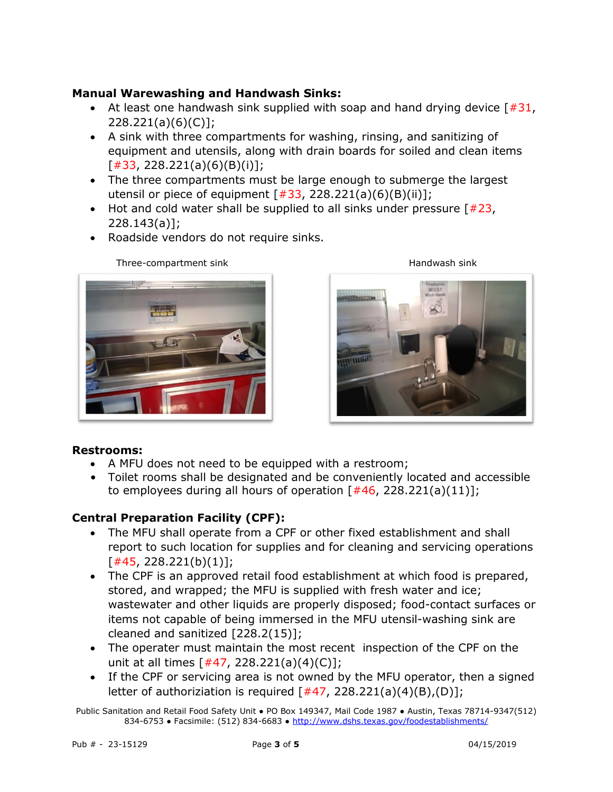### **Manual Warewashing and Handwash Sinks:**

- At least one handwash sink supplied with soap and hand drying device  $\lceil #31,$ 228.221(a)(6)(C)];
- A sink with three compartments for washing, rinsing, and sanitizing of equipment and utensils, along with drain boards for soiled and clean items [#33, 228.221(a)(6)(B)(i)];
- The three compartments must be large enough to submerge the largest utensil or piece of equipment  $\lceil #33, 228.221(a)(6)(B)(ii)\rceil$ ;
- Hot and cold water shall be supplied to all sinks under pressure  $[#23, ]$ 228.143(a)];
- Roadside vendors do not require sinks.



Three-compartment sink Handwash sink



### **Restrooms:**

- A MFU does not need to be equipped with a restroom;
- Toilet rooms shall be designated and be conveniently located and accessible to employees during all hours of operation  $[#46, 228.221(a)(11)];$

# **Central Preparation Facility (CPF):**

- The MFU shall operate from a CPF or other fixed establishment and shall report to such location for supplies and for cleaning and servicing operations  $[#45, 228.221(b)(1)]$ ;
- The CPF is an approved retail food establishment at which food is prepared, stored, and wrapped; the MFU is supplied with fresh water and ice; wastewater and other liquids are properly disposed; food-contact surfaces or items not capable of being immersed in the MFU utensil-washing sink are cleaned and sanitized [228.2(15)];
- The operater must maintain the most recent inspection of the CPF on the unit at all times  $[#47, 228.221(a)(4)(C)],$
- If the CPF or servicing area is not owned by the MFU operator, then a signed letter of authoriziation is required  $[#47, 228.221(a)(4)(B), (D)];$

Public Sanitation and Retail Food Safety Unit ● PO Box 149347, Mail Code 1987 ● Austin, Texas 78714-9347(512) 834-6753 • Facsimile: (512) 834-6683 • <http://www.dshs.texas.gov/foodestablishments/>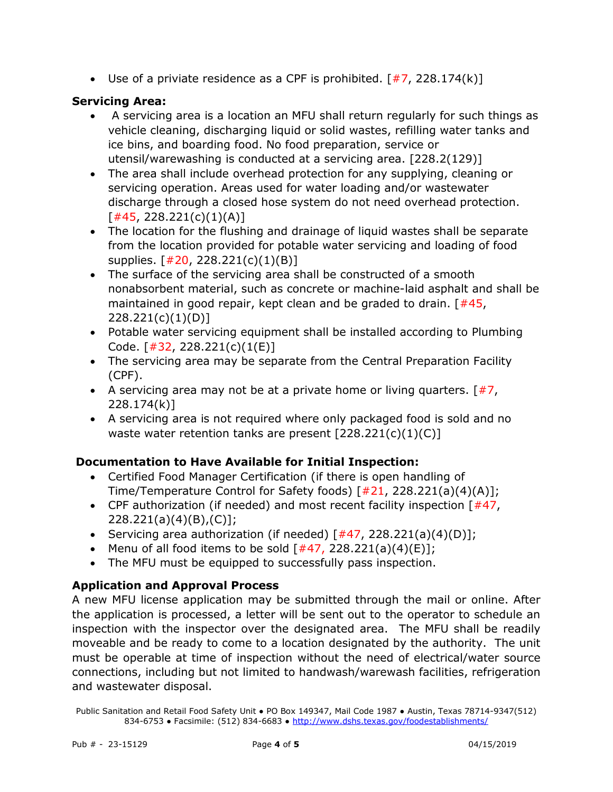Use of a priviate residence as a CPF is prohibited.  $\lceil #7, 228.174(k) \rceil$ 

### **Servicing Area:**

- A servicing area is a location an MFU shall return regularly for such things as vehicle cleaning, discharging liquid or solid wastes, refilling water tanks and ice bins, and boarding food. No food preparation, service or utensil/warewashing is conducted at a servicing area. [228.2(129)]
- The area shall include overhead protection for any supplying, cleaning or servicing operation. Areas used for water loading and/or wastewater discharge through a closed hose system do not need overhead protection.  $[#45, 228.221(c)(1)(A)]$
- The location for the flushing and drainage of liquid wastes shall be separate from the location provided for potable water servicing and loading of food supplies. [#20, 228.221(c)(1)(B)]
- The surface of the servicing area shall be constructed of a smooth nonabsorbent material, such as concrete or machine-laid asphalt and shall be maintained in good repair, kept clean and be graded to drain.  $[#45,$ 228.221(c)(1)(D)]
- Potable water servicing equipment shall be installed according to Plumbing Code.  $[#32, 228.221(c)(1(E)]$
- The servicing area may be separate from the Central Preparation Facility (CPF).
- A servicing area may not be at a private home or living quarters.  $[\#7,$ 228.174(k)]
- A servicing area is not required where only packaged food is sold and no waste water retention tanks are present  $[228.221(c)(1)(C)]$

# **Documentation to Have Available for Initial Inspection:**

- Certified Food Manager Certification (if there is open handling of Time/Temperature Control for Safety foods) [#21, 228.221(a)(4)(A)];
- CPF authorization (if needed) and most recent facility inspection  $[#47, ]$ 228.221(a)(4)(B),(C)];
- Servicing area authorization (if needed)  $\lceil #47, 228.221(a)(4)(D)\rceil;$
- Menu of all food items to be sold  $[#47, 228.221(a)(4)(E)];$
- The MFU must be equipped to successfully pass inspection.

# **Application and Approval Process**

A new MFU license application may be submitted through the mail or online. After the application is processed, a letter will be sent out to the operator to schedule an inspection with the inspector over the designated area. The MFU shall be readily moveable and be ready to come to a location designated by the authority. The unit must be operable at time of inspection without the need of electrical/water source connections, including but not limited to handwash/warewash facilities, refrigeration and wastewater disposal.

Public Sanitation and Retail Food Safety Unit ● PO Box 149347, Mail Code 1987 ● Austin, Texas 78714-9347(512) 834-6753 • Facsimile: (512) 834-6683 • <http://www.dshs.texas.gov/foodestablishments/>